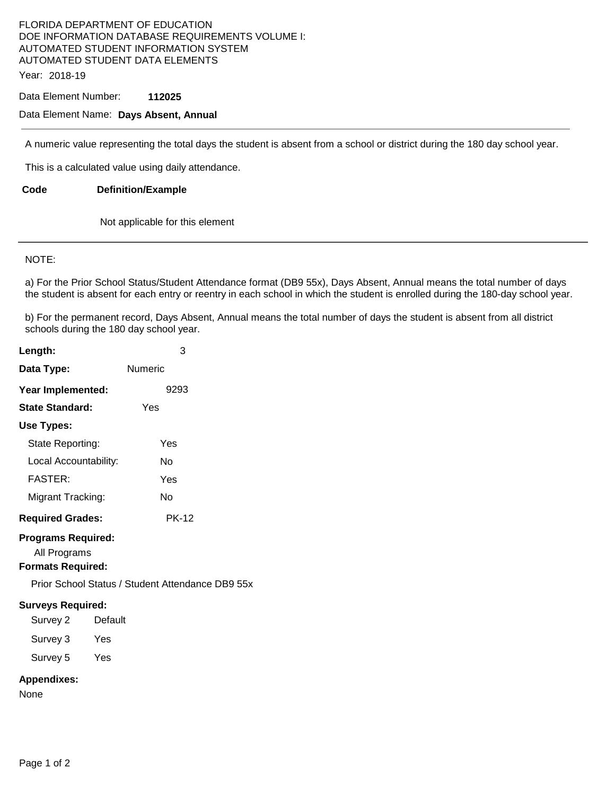### FLORIDA DEPARTMENT OF EDUCATION DOE INFORMATION DATABASE REQUIREMENTS VOLUME I: AUTOMATED STUDENT INFORMATION SYSTEM AUTOMATED STUDENT DATA ELEMENTS Year: 2018-19

Data Element Number: **112025** 

## Data Element Name: **Days Absent, Annual**

A numeric value representing the total days the student is absent from a school or district during the 180 day school year.

This is a calculated value using daily attendance.

**Code Definition/Example** 

Not applicable for this element

#### NOTE:

a) For the Prior School Status/Student Attendance format (DB9 55x), Days Absent, Annual means the total number of days the student is absent for each entry or reentry in each school in which the student is enrolled during the 180-day school year.

b) For the permanent record, Days Absent, Annual means the total number of days the student is absent from all district schools during the 180 day school year.

| Length:                                   | 3                                                |
|-------------------------------------------|--------------------------------------------------|
| Data Type:                                | Numeric                                          |
| Year Implemented:                         | 9293                                             |
| State Standard:                           | Yes                                              |
| Use Types:                                |                                                  |
| State Reporting:                          | Yes                                              |
| Local Accountability:                     | N٥                                               |
| <b>FASTER:</b>                            | Yes                                              |
| Migrant Tracking:                         | No                                               |
| <b>Required Grades:</b>                   | <b>PK-12</b>                                     |
| <b>Programs Required:</b><br>All Programs |                                                  |
| Formats Required:                         |                                                  |
|                                           | Prior School Status / Student Attendance DB9 55x |

#### **Surveys Required:**

Survey 2 Default Survey 3 Yes

Survey 5 Yes

## **Appendixes:**

None